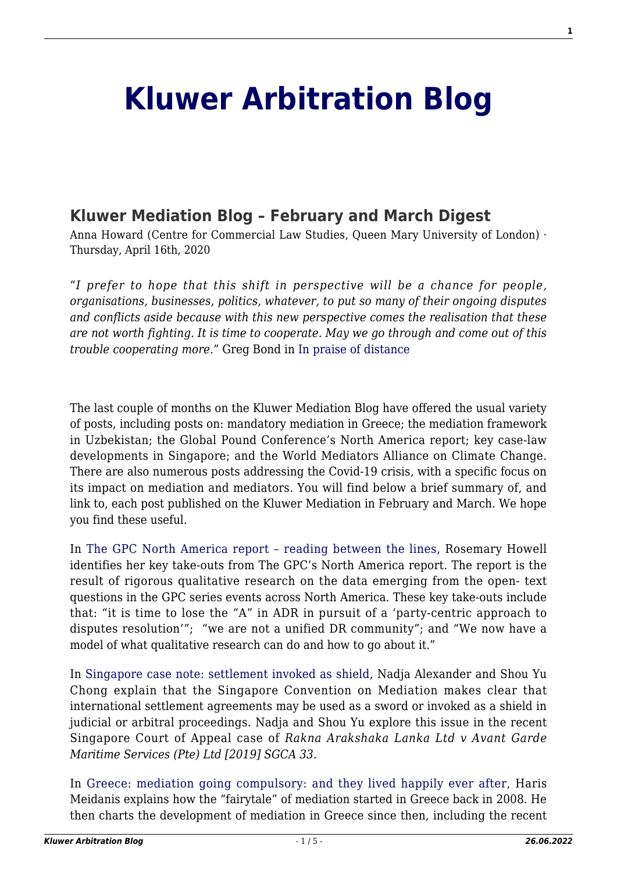## **[Kluwer Arbitration Blog](http://arbitrationblog.kluwerarbitration.com/)**

## **[Kluwer Mediation Blog – February and March Digest](http://arbitrationblog.kluwerarbitration.com/2020/04/16/kluwer-mediation-blog-february-and-march-digest/)**

Anna Howard (Centre for Commercial Law Studies, Queen Mary University of London) · Thursday, April 16th, 2020

"*I prefer to hope that this shift in perspective will be a chance for people, organisations, businesses, politics, whatever, to put so many of their ongoing disputes and conflicts aside because with this new perspective comes the realisation that these are not worth fighting. It is time to cooperate. May we go through and come out of this trouble cooperating more*." Greg Bond in [In praise of distance](http://mediationblog.kluwerarbitration.com/2020/03/24/in-praise-of-distance/)

The last couple of months on the Kluwer Mediation Blog have offered the usual variety of posts, including posts on: mandatory mediation in Greece; the mediation framework in Uzbekistan; the Global Pound Conference's North America report; key case-law developments in Singapore; and the World Mediators Alliance on Climate Change. There are also numerous posts addressing the Covid-19 crisis, with a specific focus on its impact on mediation and mediators. You will find below a brief summary of, and link to, each post published on the Kluwer Mediation in February and March. We hope you find these useful.

In [The GPC North America report – reading between the lines,](http://mediationblog.kluwerarbitration.com/2020/02/22/the-gpc-north-america-report-reading-between-the-lines/) Rosemary Howell identifies her key take-outs from The GPC's North America report. The report is the result of rigorous qualitative research on the data emerging from the open- text questions in the GPC series events across North America. These key take-outs include that: "it is time to lose the "A" in ADR in pursuit of a 'party-centric approach to disputes resolution'"; "we are not a unified DR community"; and "We now have a model of what qualitative research can do and how to go about it."

In [Singapore case note: settlement invoked as shield,](http://mediationblog.kluwerarbitration.com/2020/02/21/singapore-case-note-settlement-agreement-invoked-as-shield/) Nadja Alexander and Shou Yu Chong explain that the Singapore Convention on Mediation makes clear that international settlement agreements may be used as a sword or invoked as a shield in judicial or arbitral proceedings. Nadja and Shou Yu explore this issue in the recent Singapore Court of Appeal case of *Rakna Arakshaka Lanka Ltd v Avant Garde Maritime Services (Pte) Ltd [2019] SGCA 33.*

In [Greece: mediation going compulsory: and they lived happily ever after](http://mediationblog.kluwerarbitration.com/2020/02/19/greece-mediation-going-compulsory-and-they-lived-happily-ever-after/), Haris Meidanis explains how the "fairytale" of mediation started in Greece back in 2008. He then charts the development of mediation in Greece since then, including the recent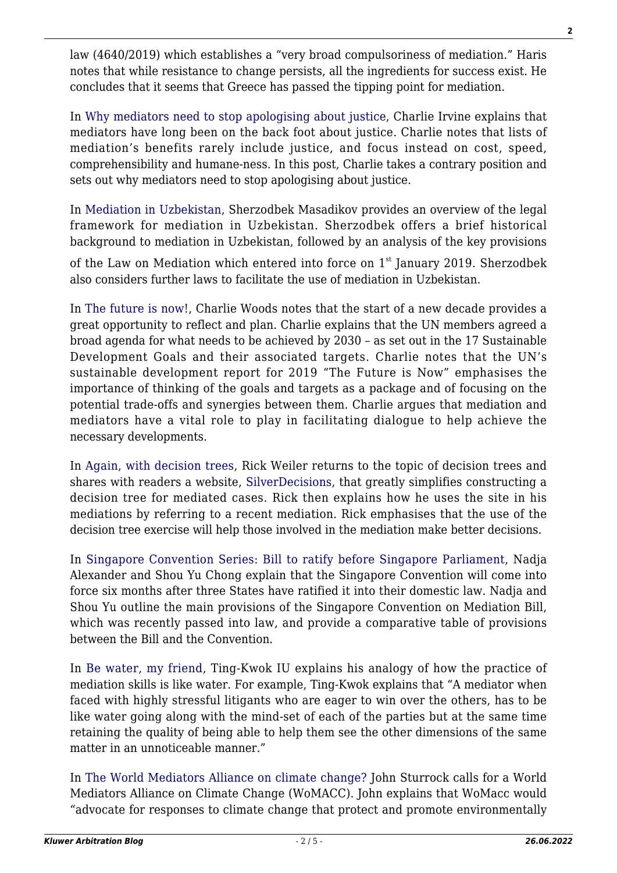law (4640/2019) which establishes a "very broad compulsoriness of mediation." Haris notes that while resistance to change persists, all the ingredients for success exist. He concludes that it seems that Greece has passed the tipping point for mediation.

In [Why mediators need to stop apologising about justice,](http://mediationblog.kluwerarbitration.com/2020/02/13/why-mediators-need-to-stop-apologising-about-justice/) Charlie Irvine explains that mediators have long been on the back foot about justice. Charlie notes that lists of mediation's benefits rarely include justice, and focus instead on cost, speed, comprehensibility and humane-ness. In this post, Charlie takes a contrary position and sets out why mediators need to stop apologising about justice.

In [Mediation in Uzbekistan,](http://mediationblog.kluwerarbitration.com/2020/02/10/mediation-in-uzbekistan/) Sherzodbek Masadikov provides an overview of the legal framework for mediation in Uzbekistan. Sherzodbek offers a brief historical background to mediation in Uzbekistan, followed by an analysis of the key provisions

of the Law on Mediation which entered into force on  $1<sup>st</sup>$  January 2019. Sherzodbek also considers further laws to facilitate the use of mediation in Uzbekistan.

In [The future is now!,](http://mediationblog.kluwerarbitration.com/2020/02/08/the-future-is-now/) Charlie Woods notes that the start of a new decade provides a great opportunity to reflect and plan. Charlie explains that the UN members agreed a broad agenda for what needs to be achieved by 2030 – as set out in the 17 Sustainable Development Goals and their associated targets. Charlie notes that the UN's sustainable development report for 2019 "The Future is Now" emphasises the importance of thinking of the goals and targets as a package and of focusing on the potential trade-offs and synergies between them. Charlie argues that mediation and mediators have a vital role to play in facilitating dialogue to help achieve the necessary developments.

In [Again, with decision trees,](http://mediationblog.kluwerarbitration.com/2020/02/06/again-with-decision-trees/) Rick Weiler returns to the topic of decision trees and shares with readers a website, [SilverDecisions](http://silverdecisions.pl/SilverDecisions.html?lang=en), that greatly simplifies constructing a decision tree for mediated cases. Rick then explains how he uses the site in his mediations by referring to a recent mediation. Rick emphasises that the use of the decision tree exercise will help those involved in the mediation make better decisions.

In [Singapore Convention Series: Bill to ratify before Singapore Parliament](http://mediationblog.kluwerarbitration.com/2020/02/04/singapore-convention-series-bill-to-ratify-before-singapore-parliament/), Nadja Alexander and Shou Yu Chong explain that the Singapore Convention will come into force six months after three States have ratified it into their domestic law. Nadja and Shou Yu outline the main provisions of the Singapore Convention on Mediation Bill, which was recently passed into law, and provide a comparative table of provisions between the Bill and the Convention.

In [Be water, my friend,](http://mediationblog.kluwerarbitration.com/2020/02/02/be-water-my-friend/) Ting-Kwok IU explains his analogy of how the practice of mediation skills is like water. For example, Ting-Kwok explains that "A mediator when faced with highly stressful litigants who are eager to win over the others, has to be like water going along with the mind-set of each of the parties but at the same time retaining the quality of being able to help them see the other dimensions of the same matter in an unnoticeable manner."

In [The World Mediators Alliance on climate change?](http://mediationblog.kluwerarbitration.com/2020/02/28/the-world-mediators-alliance-on-climate-change/) John Sturrock calls for a World Mediators Alliance on Climate Change (WoMACC). John explains that WoMacc would "advocate for responses to climate change that protect and promote environmentally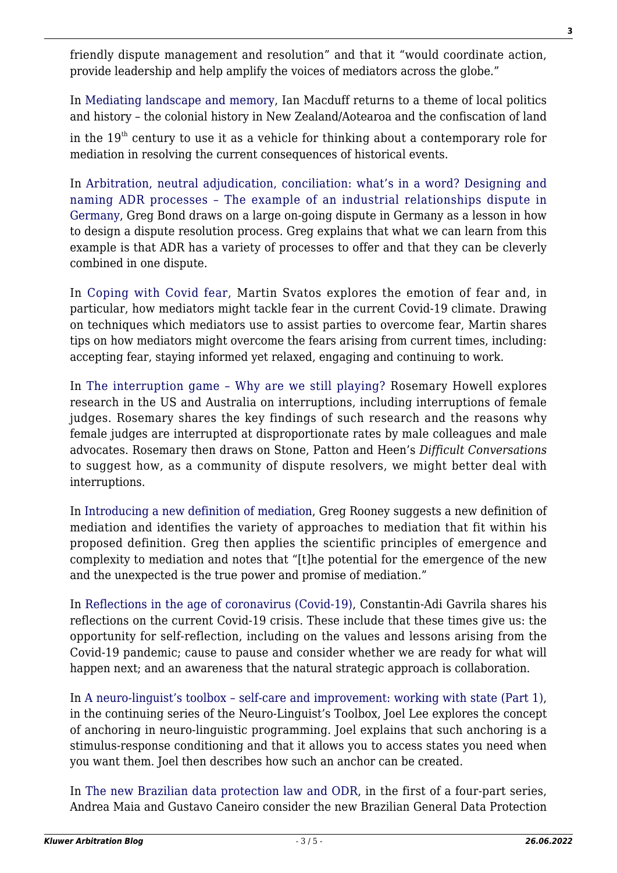friendly dispute management and resolution" and that it "would coordinate action, provide leadership and help amplify the voices of mediators across the globe."

In [Mediating landscape and memory](http://mediationblog.kluwerarbitration.com/2020/02/26/mediating-landscape-and-memory/), Ian Macduff returns to a theme of local politics and history – the colonial history in New Zealand/Aotearoa and the confiscation of land

in the  $19<sup>th</sup>$  century to use it as a vehicle for thinking about a contemporary role for mediation in resolving the current consequences of historical events.

In [Arbitration, neutral adjudication, conciliation: what's in a word? Designing and](http://mediationblog.kluwerarbitration.com/2020/02/24/arbitration-neutral-adjudication-conciliation-mediation-whats-in-a-word-designing-and-naming-adr-processes-the-example-of-an-industrial-relations-dispute-in-germany/) [naming ADR processes – The example of an industrial relationships dispute in](http://mediationblog.kluwerarbitration.com/2020/02/24/arbitration-neutral-adjudication-conciliation-mediation-whats-in-a-word-designing-and-naming-adr-processes-the-example-of-an-industrial-relations-dispute-in-germany/) [Germany,](http://mediationblog.kluwerarbitration.com/2020/02/24/arbitration-neutral-adjudication-conciliation-mediation-whats-in-a-word-designing-and-naming-adr-processes-the-example-of-an-industrial-relations-dispute-in-germany/) Greg Bond draws on a large on-going dispute in Germany as a lesson in how to design a dispute resolution process. Greg explains that what we can learn from this example is that ADR has a variety of processes to offer and that they can be cleverly combined in one dispute.

In [Coping with Covid fear,](http://mediationblog.kluwerarbitration.com/2020/03/31/coping-with-covid-fear/) Martin Svatos explores the emotion of fear and, in particular, how mediators might tackle fear in the current Covid-19 climate. Drawing on techniques which mediators use to assist parties to overcome fear, Martin shares tips on how mediators might overcome the fears arising from current times, including: accepting fear, staying informed yet relaxed, engaging and continuing to work.

In [The interruption game – Why are we still playing?](http://mediationblog.kluwerarbitration.com/2020/03/22/the-interruption-game-why-are-we-still-playing/) Rosemary Howell explores research in the US and Australia on interruptions, including interruptions of female judges. Rosemary shares the key findings of such research and the reasons why female judges are interrupted at disproportionate rates by male colleagues and male advocates. Rosemary then draws on Stone, Patton and Heen's *Difficult Conversations* to suggest how, as a community of dispute resolvers, we might better deal with interruptions.

In [Introducing a new definition of mediation](http://mediationblog.kluwerarbitration.com/2020/03/20/introducing-a-new-definition-of-mediation/), Greg Rooney suggests a new definition of mediation and identifies the variety of approaches to mediation that fit within his proposed definition. Greg then applies the scientific principles of emergence and complexity to mediation and notes that "[t]he potential for the emergence of the new and the unexpected is the true power and promise of mediation."

In [Reflections in the age of coronavirus \(Covid-19\)](http://mediationblog.kluwerarbitration.com/2020/03/14/reflections-in-the-age-of-coronavirus-covid-19/), Constantin-Adi Gavrila shares his reflections on the current Covid-19 crisis. These include that these times give us: the opportunity for self-reflection, including on the values and lessons arising from the Covid-19 pandemic; cause to pause and consider whether we are ready for what will happen next; and an awareness that the natural strategic approach is collaboration.

In [A neuro-linguist's toolbox – self-care and improvement: working with state \(Part 1\)](http://mediationblog.kluwerarbitration.com/2020/03/12/a-neuro-linguists-toolbox-self-care-and-improvement-working-with-state-part-1/), in the continuing series of the Neuro-Linguist's Toolbox, Joel Lee explores the concept of anchoring in neuro-linguistic programming. Joel explains that such anchoring is a stimulus-response conditioning and that it allows you to access states you need when you want them. Joel then describes how such an anchor can be created.

In [The new Brazilian data protection law and ODR](http://mediationblog.kluwerarbitration.com/2020/03/09/the-new-brazilian-general-data-protection-law-and-odr/), in the first of a four-part series, Andrea Maia and Gustavo Caneiro consider the new Brazilian General Data Protection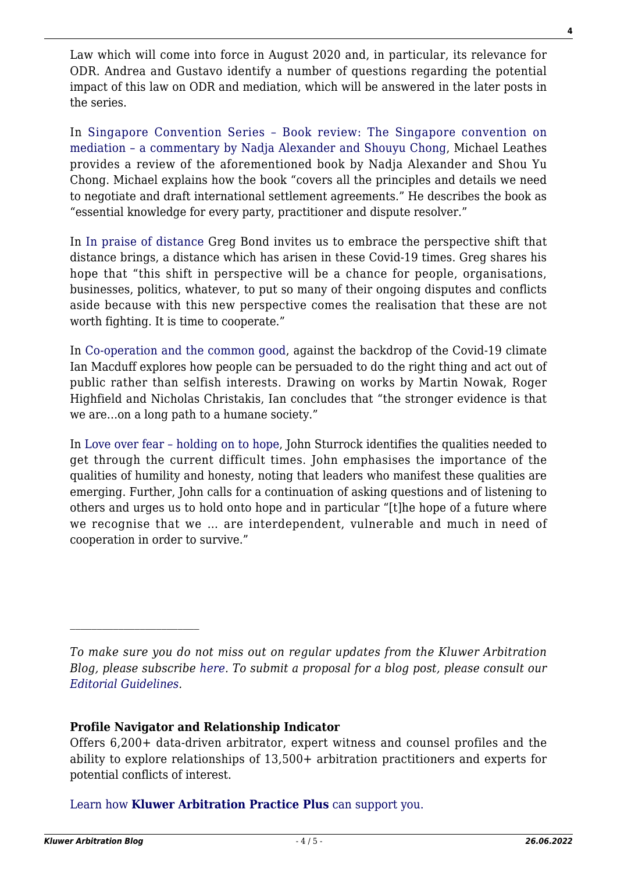Law which will come into force in August 2020 and, in particular, its relevance for ODR. Andrea and Gustavo identify a number of questions regarding the potential impact of this law on ODR and mediation, which will be answered in the later posts in the series.

In [Singapore Convention Series – Book review: The Singapore convention on](http://mediationblog.kluwerarbitration.com/2020/03/03/singapore-convention-series-book-review-the-singapore-convention-on-mediation-a-commentary-by-nadja-alexander-shouyu-chong/) [mediation – a commentary by Nadja Alexander and Shouyu Chong,](http://mediationblog.kluwerarbitration.com/2020/03/03/singapore-convention-series-book-review-the-singapore-convention-on-mediation-a-commentary-by-nadja-alexander-shouyu-chong/) Michael Leathes provides a review of the aforementioned book by Nadja Alexander and Shou Yu Chong. Michael explains how the book "covers all the principles and details we need to negotiate and draft international settlement agreements." He describes the book as "essential knowledge for every party, practitioner and dispute resolver."

In [In praise of distance](http://mediationblog.kluwerarbitration.com/2020/03/24/in-praise-of-distance/) Greg Bond invites us to embrace the perspective shift that distance brings, a distance which has arisen in these Covid-19 times. Greg shares his hope that "this shift in perspective will be a chance for people, organisations, businesses, politics, whatever, to put so many of their ongoing disputes and conflicts aside because with this new perspective comes the realisation that these are not worth fighting. It is time to cooperate."

In [Co-operation and the common good](http://mediationblog.kluwerarbitration.com/2020/03/26/co-operation-and-the-common-good/), against the backdrop of the Covid-19 climate Ian Macduff explores how people can be persuaded to do the right thing and act out of public rather than selfish interests. Drawing on works by Martin Nowak, Roger Highfield and Nicholas Christakis, Ian concludes that "the stronger evidence is that we are…on a long path to a humane society."

In [Love over fear – holding on to hope,](http://mediationblog.kluwerarbitration.com/2020/03/28/love-over-fear-and-holding-on-to-hope/) John Sturrock identifies the qualities needed to get through the current difficult times. John emphasises the importance of the qualities of humility and honesty, noting that leaders who manifest these qualities are emerging. Further, John calls for a continuation of asking questions and of listening to others and urges us to hold onto hope and in particular "[t]he hope of a future where we recognise that we … are interdependent, vulnerable and much in need of cooperation in order to survive."

*To make sure you do not miss out on regular updates from the Kluwer Arbitration Blog, please subscribe [here](http://arbitrationblog.kluwerarbitration.com/newsletter/). To submit a proposal for a blog post, please consult our [Editorial Guidelines.](http://arbitrationblog.kluwerarbitration.com/editorial-guidelines/)*

## **Profile Navigator and Relationship Indicator**

Offers 6,200+ data-driven arbitrator, expert witness and counsel profiles and the ability to explore relationships of 13,500+ arbitration practitioners and experts for potential conflicts of interest.

[Learn how](https://www.wolterskluwer.com/en/solutions/kluwerarbitration/practiceplus?utm_source=arbitrationblog&utm_medium=articleCTA&utm_campaign=article-banner) **[Kluwer Arbitration Practice Plus](https://www.wolterskluwer.com/en/solutions/kluwerarbitration/practiceplus?utm_source=arbitrationblog&utm_medium=articleCTA&utm_campaign=article-banner)** [can support you.](https://www.wolterskluwer.com/en/solutions/kluwerarbitration/practiceplus?utm_source=arbitrationblog&utm_medium=articleCTA&utm_campaign=article-banner)